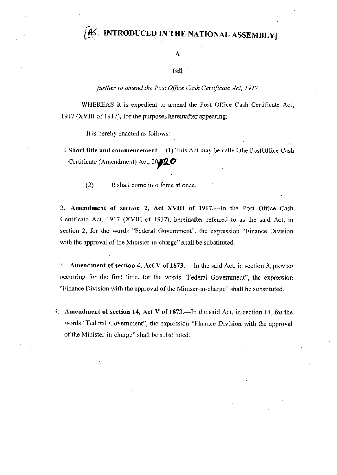## AS. INTRODUCED IN THE NATIONAL ASSEMBLY

A

## Bill

## further to amend the Post Office Cash Certificate Act, 1917

WHEREAS it is expedient to amend the Post Office Cash Certificate Act, 1917 (XVIII of 1917), for the purposes hereinafter appearing:

It is hereby enacted as follows:-

- I. Short title and commencement.—(1) This Act may be called the PostOffice Cash Certificate (Amendment) Act,  $20$ 20
	- $(2)$ It shall come into force at once.

2. Amendment of section 2, Act XVIII of 1917.--- In the Post Office Cash Certificate Act, 1917 (XVIII of 1917), hereinafter referred to as the said Act, in section 2, for the words "Federal Government", the expression "Finance Division with the approval of the Minister-in-charge" shall be substituted.

3. Amendment of section 4, Act V of  $1873$ . In the said Act, in section 3, proviso occurring for the first time, for the words "Federal Government", the expression "Finance Division with the approval of the Miniser-in-charge" shall be substituted.

4. Amendment of section 14, Act V of 1873.—In the said Act, in section 14, for the words "Federal Government", the expression "Finance Division with the approval of the Minister-in-charge" shall be substituted.